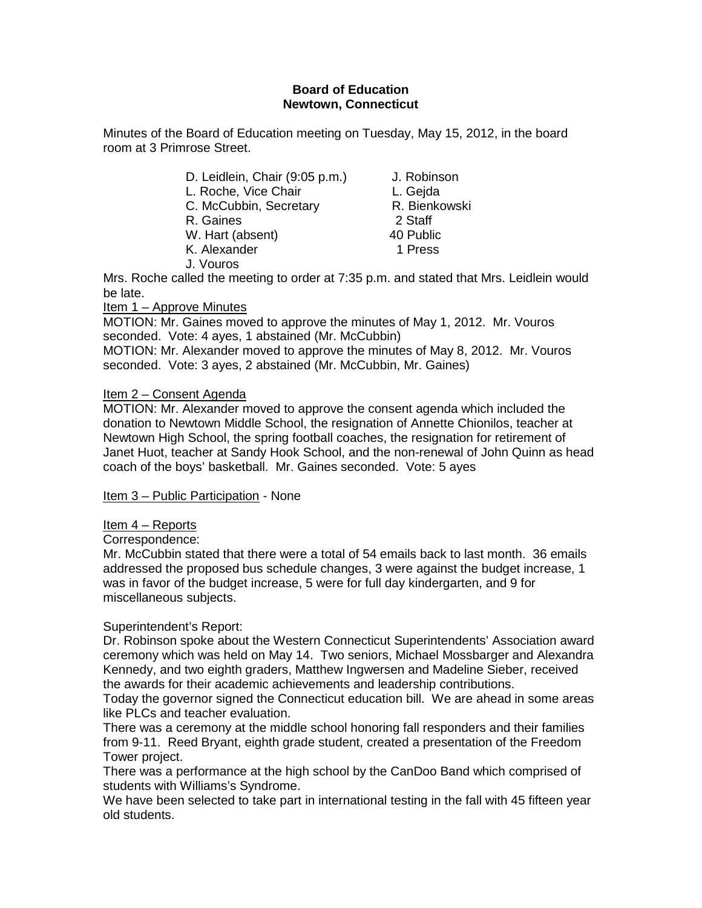### **Board of Education Newtown, Connecticut**

Minutes of the Board of Education meeting on Tuesday, May 15, 2012, in the board room at 3 Primrose Street.

| D. Leidlein, Chair (9:05 p.m.) | J. Robinson   |
|--------------------------------|---------------|
| L. Roche, Vice Chair           | L. Gejda      |
| C. McCubbin, Secretary         | R. Bienkowski |
| R. Gaines                      | 2 Staff       |
| W. Hart (absent)               | 40 Public     |
| K. Alexander                   | 1 Press       |
| J. Vouros                      |               |

Mrs. Roche called the meeting to order at 7:35 p.m. and stated that Mrs. Leidlein would be late.

Item 1 – Approve Minutes

MOTION: Mr. Gaines moved to approve the minutes of May 1, 2012. Mr. Vouros seconded. Vote: 4 ayes, 1 abstained (Mr. McCubbin)

MOTION: Mr. Alexander moved to approve the minutes of May 8, 2012. Mr. Vouros seconded. Vote: 3 ayes, 2 abstained (Mr. McCubbin, Mr. Gaines)

## Item 2 – Consent Agenda

MOTION: Mr. Alexander moved to approve the consent agenda which included the donation to Newtown Middle School, the resignation of Annette Chionilos, teacher at Newtown High School, the spring football coaches, the resignation for retirement of Janet Huot, teacher at Sandy Hook School, and the non-renewal of John Quinn as head coach of the boys' basketball. Mr. Gaines seconded. Vote: 5 ayes

Item 3 – Public Participation - None

## Item 4 – Reports

Correspondence:

Mr. McCubbin stated that there were a total of 54 emails back to last month. 36 emails addressed the proposed bus schedule changes, 3 were against the budget increase, 1 was in favor of the budget increase, 5 were for full day kindergarten, and 9 for miscellaneous subjects.

## Superintendent's Report:

Dr. Robinson spoke about the Western Connecticut Superintendents' Association award ceremony which was held on May 14. Two seniors, Michael Mossbarger and Alexandra Kennedy, and two eighth graders, Matthew Ingwersen and Madeline Sieber, received the awards for their academic achievements and leadership contributions.

Today the governor signed the Connecticut education bill. We are ahead in some areas like PLCs and teacher evaluation.

There was a ceremony at the middle school honoring fall responders and their families from 9-11. Reed Bryant, eighth grade student, created a presentation of the Freedom Tower project.

There was a performance at the high school by the CanDoo Band which comprised of students with Williams's Syndrome.

We have been selected to take part in international testing in the fall with 45 fifteen year old students.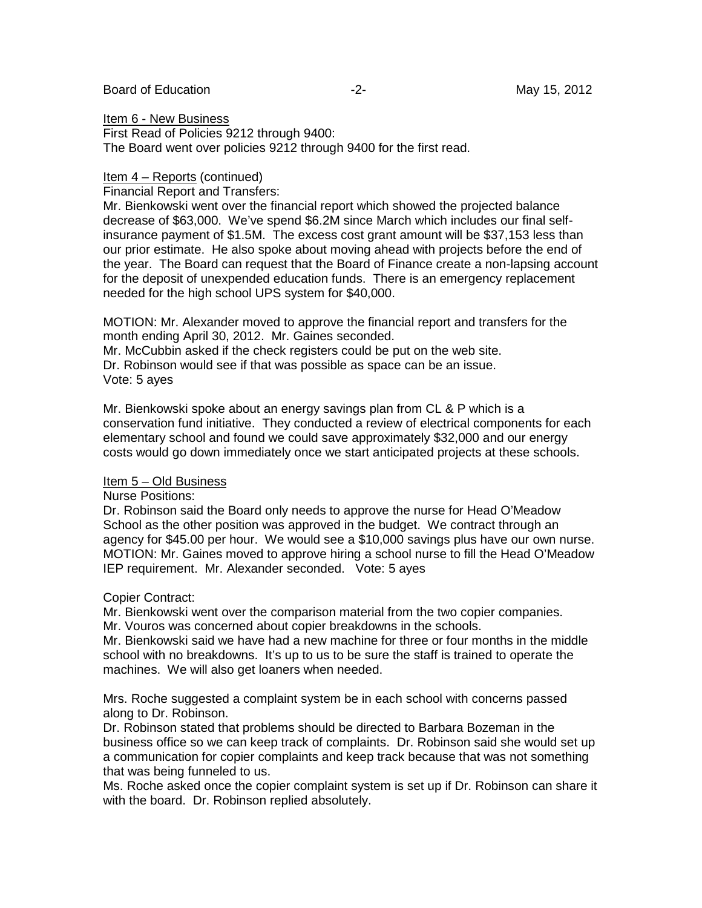#### Board of Education **-2-** Figure 2. The May 15, 2012

Item 6 - New Business First Read of Policies 9212 through 9400:

The Board went over policies 9212 through 9400 for the first read.

### Item 4 – Reports (continued)

Financial Report and Transfers:

Mr. Bienkowski went over the financial report which showed the projected balance decrease of \$63,000. We've spend \$6.2M since March which includes our final selfinsurance payment of \$1.5M. The excess cost grant amount will be \$37,153 less than our prior estimate. He also spoke about moving ahead with projects before the end of the year. The Board can request that the Board of Finance create a non-lapsing account for the deposit of unexpended education funds. There is an emergency replacement needed for the high school UPS system for \$40,000.

MOTION: Mr. Alexander moved to approve the financial report and transfers for the month ending April 30, 2012. Mr. Gaines seconded.

Mr. McCubbin asked if the check registers could be put on the web site.

Dr. Robinson would see if that was possible as space can be an issue. Vote: 5 ayes

Mr. Bienkowski spoke about an energy savings plan from CL & P which is a conservation fund initiative. They conducted a review of electrical components for each elementary school and found we could save approximately \$32,000 and our energy costs would go down immediately once we start anticipated projects at these schools.

### Item 5 – Old Business

### Nurse Positions:

Dr. Robinson said the Board only needs to approve the nurse for Head O'Meadow School as the other position was approved in the budget. We contract through an agency for \$45.00 per hour. We would see a \$10,000 savings plus have our own nurse. MOTION: Mr. Gaines moved to approve hiring a school nurse to fill the Head O'Meadow IEP requirement. Mr. Alexander seconded. Vote: 5 ayes

### Copier Contract:

Mr. Bienkowski went over the comparison material from the two copier companies. Mr. Vouros was concerned about copier breakdowns in the schools.

Mr. Bienkowski said we have had a new machine for three or four months in the middle school with no breakdowns. It's up to us to be sure the staff is trained to operate the machines. We will also get loaners when needed.

Mrs. Roche suggested a complaint system be in each school with concerns passed along to Dr. Robinson.

Dr. Robinson stated that problems should be directed to Barbara Bozeman in the business office so we can keep track of complaints. Dr. Robinson said she would set up a communication for copier complaints and keep track because that was not something that was being funneled to us.

Ms. Roche asked once the copier complaint system is set up if Dr. Robinson can share it with the board. Dr. Robinson replied absolutely.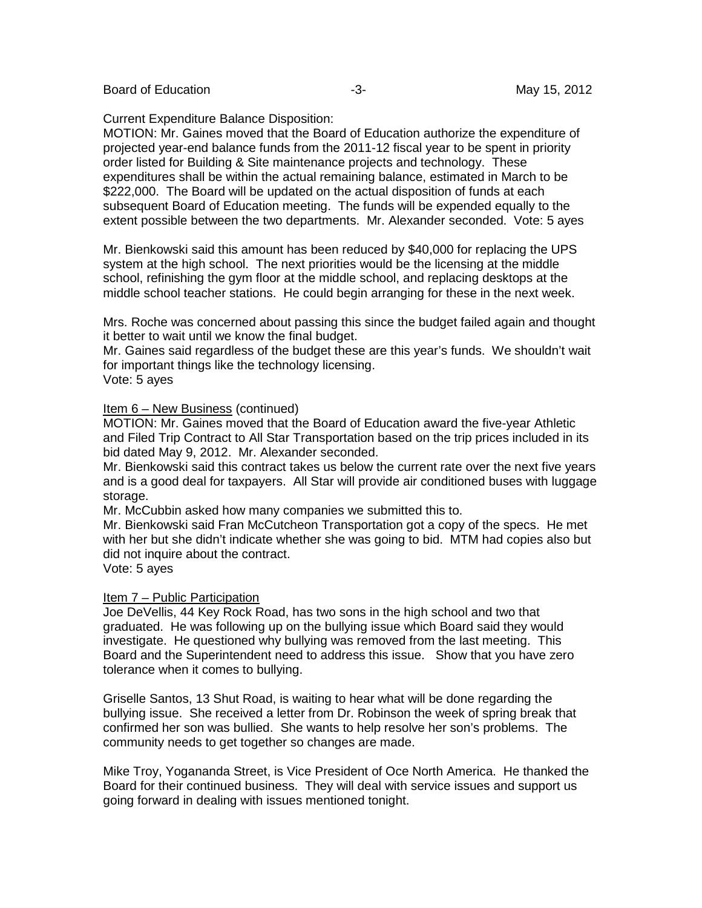Board of Education **-3-** Figure -3- All the May 15, 2012

Current Expenditure Balance Disposition:

MOTION: Mr. Gaines moved that the Board of Education authorize the expenditure of projected year-end balance funds from the 2011-12 fiscal year to be spent in priority order listed for Building & Site maintenance projects and technology. These expenditures shall be within the actual remaining balance, estimated in March to be \$222,000. The Board will be updated on the actual disposition of funds at each subsequent Board of Education meeting. The funds will be expended equally to the extent possible between the two departments. Mr. Alexander seconded. Vote: 5 ayes

Mr. Bienkowski said this amount has been reduced by \$40,000 for replacing the UPS system at the high school. The next priorities would be the licensing at the middle school, refinishing the gym floor at the middle school, and replacing desktops at the middle school teacher stations. He could begin arranging for these in the next week.

Mrs. Roche was concerned about passing this since the budget failed again and thought it better to wait until we know the final budget.

Mr. Gaines said regardless of the budget these are this year's funds. We shouldn't wait for important things like the technology licensing.

Vote: 5 ayes

#### Item 6 – New Business (continued)

MOTION: Mr. Gaines moved that the Board of Education award the five-year Athletic and Filed Trip Contract to All Star Transportation based on the trip prices included in its bid dated May 9, 2012. Mr. Alexander seconded.

Mr. Bienkowski said this contract takes us below the current rate over the next five years and is a good deal for taxpayers. All Star will provide air conditioned buses with luggage storage.

Mr. McCubbin asked how many companies we submitted this to.

Mr. Bienkowski said Fran McCutcheon Transportation got a copy of the specs. He met with her but she didn't indicate whether she was going to bid. MTM had copies also but did not inquire about the contract.

Vote: 5 ayes

### Item 7 – Public Participation

Joe DeVellis, 44 Key Rock Road, has two sons in the high school and two that graduated. He was following up on the bullying issue which Board said they would investigate. He questioned why bullying was removed from the last meeting. This Board and the Superintendent need to address this issue. Show that you have zero tolerance when it comes to bullying.

Griselle Santos, 13 Shut Road, is waiting to hear what will be done regarding the bullying issue. She received a letter from Dr. Robinson the week of spring break that confirmed her son was bullied. She wants to help resolve her son's problems. The community needs to get together so changes are made.

Mike Troy, Yogananda Street, is Vice President of Oce North America. He thanked the Board for their continued business. They will deal with service issues and support us going forward in dealing with issues mentioned tonight.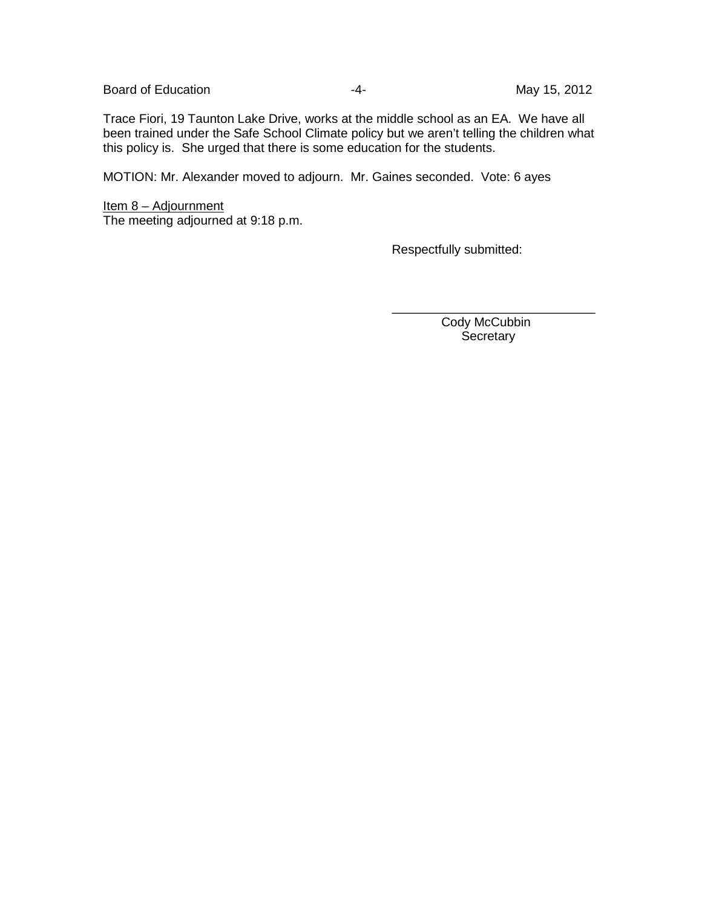Board of Education **Contract Contract Contract Contract Contract Contract Contract Contract Contract Contract Contract Contract Contract Contract Contract Contract Contract Contract Contract Contract Contract Contract Cont** 

Trace Fiori, 19 Taunton Lake Drive, works at the middle school as an EA. We have all been trained under the Safe School Climate policy but we aren't telling the children what this policy is. She urged that there is some education for the students.

MOTION: Mr. Alexander moved to adjourn. Mr. Gaines seconded. Vote: 6 ayes

Item 8 – Adjournment The meeting adjourned at 9:18 p.m.

Respectfully submitted:

Cody McCubbin **Secretary** 

\_\_\_\_\_\_\_\_\_\_\_\_\_\_\_\_\_\_\_\_\_\_\_\_\_\_\_\_\_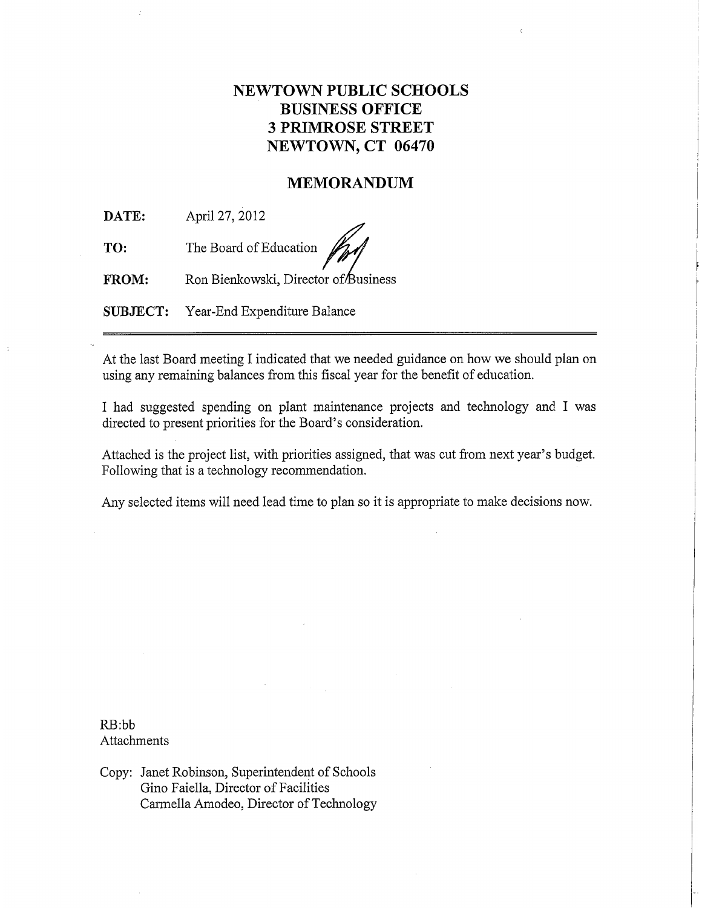# **NEWTOWN PUBLIC SCHOOLS BUSINESS OFFICE 3 PRIMROSE STREET** NEWTOWN, CT 06470

## **MEMORANDUM**

DATE: April 27, 2012

TO: The Board of Education

Ron Bienkowski, Director of Business FROM:

**SUBJECT:** Year-End Expenditure Balance

At the last Board meeting I indicated that we needed guidance on how we should plan on using any remaining balances from this fiscal year for the benefit of education.

I had suggested spending on plant maintenance projects and technology and I was directed to present priorities for the Board's consideration.

Attached is the project list, with priorities assigned, that was cut from next year's budget. Following that is a technology recommendation.

Any selected items will need lead time to plan so it is appropriate to make decisions now.

 $RB:bb$ Attachments

Copy: Janet Robinson, Superintendent of Schools Gino Faiella, Director of Facilities Carmella Amodeo, Director of Technology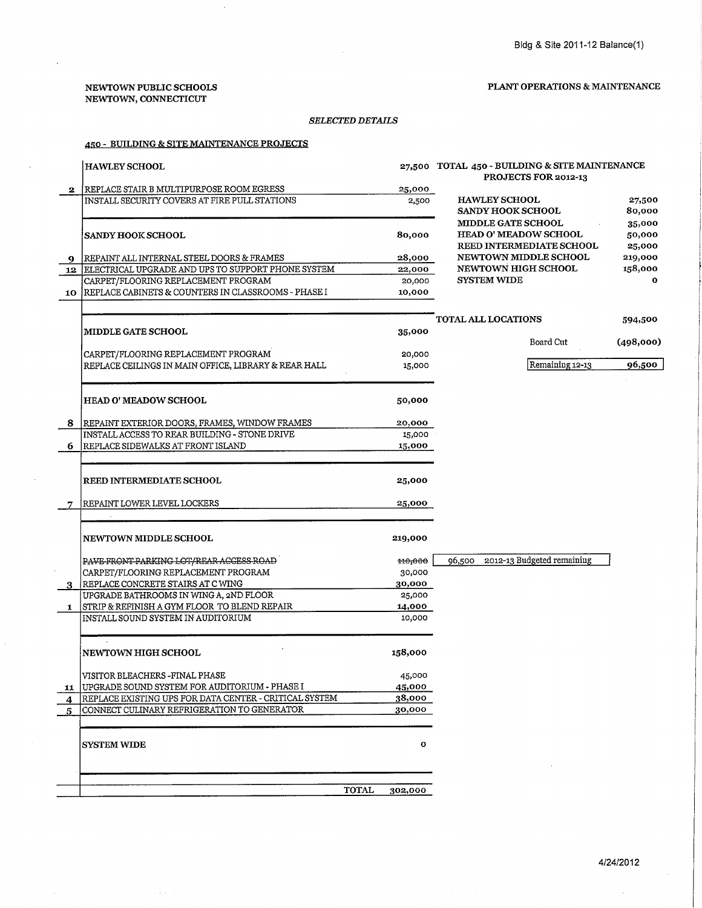#### NEWTOWN PUBLIC SCHOOLS NEWTOWN, CONNECTICUT

 $\alpha$  ,  $\alpha$  ,  $\beta$ 

#### PLANT OPERATIONS & MAINTENANCE

#### $\it SELECTED\,DETALS$

#### 450 - BUILDING & SITE MAINTENANCE PROJECTS

|              | <b>HAWLEY SCHOOL</b>                                                                        |         | 27,500 TOTAL 450 - BUILDING & SITE MAINTENANCE<br>PROJECTS FOR 2012-13                       |                            |
|--------------|---------------------------------------------------------------------------------------------|---------|----------------------------------------------------------------------------------------------|----------------------------|
| $\mathbf{2}$ | REPLACE STAIR B MULTIPURPOSE ROOM EGRESS                                                    | 25,000  |                                                                                              |                            |
|              | INSTALL SECURITY COVERS AT FIRE PULL STATIONS                                               | 2,500   | <b>HAWLEY SCHOOL</b><br><b>SANDY HOOK SCHOOL</b>                                             | 27,500<br>80,000           |
|              | <b>SANDY HOOK SCHOOL</b>                                                                    | 80,000  | <b>MIDDLE GATE SCHOOL</b><br><b>HEAD O' MEADOW SCHOOL</b><br><b>REED INTERMEDIATE SCHOOL</b> | 35,000<br>50,000<br>25,000 |
| 9            | REPAINT ALL INTERNAL STEEL DOORS & FRAMES                                                   | 28,000  | NEWTOWN MIDDLE SCHOOL                                                                        | 219,000                    |
| 12           | ELECTRICAL UPGRADE AND UPS TO SUPPORT PHONE SYSTEM                                          | 22,000  | <b>NEWTOWN HIGH SCHOOL</b>                                                                   | 158,000                    |
|              | CARPET/FLOORING REPLACEMENT PROGRAM                                                         | 20,000  | <b>SYSTEM WIDE</b>                                                                           | $\mathbf{o}$               |
| 10           | REPLACE CABINETS & COUNTERS IN CLASSROOMS - PHASE I                                         | 10,000  |                                                                                              |                            |
|              |                                                                                             |         | TOTAL ALL LOCATIONS                                                                          | 594,500                    |
|              | <b>MIDDLE GATE SCHOOL</b>                                                                   | 35,000  |                                                                                              |                            |
|              |                                                                                             |         | Board Cut                                                                                    | (498,000)                  |
|              | CARPET/FLOORING REPLACEMENT PROGRAM<br>REPLACE CEILINGS IN MAIN OFFICE, LIBRARY & REAR HALL | 20,000  | Remaining 12-13                                                                              | 96,500                     |
|              |                                                                                             | 15,000  |                                                                                              |                            |
|              | <b>HEAD O' MEADOW SCHOOL</b>                                                                | 50,000  |                                                                                              |                            |
|              | 8 REPAINT EXTERIOR DOORS, FRAMES, WINDOW FRAMES                                             | 20,000  |                                                                                              |                            |
|              | INSTALL ACCESS TO REAR BUILDING - STONE DRIVE                                               | 15,000  |                                                                                              |                            |
| 6            | REPLACE SIDEWALKS AT FRONT ISLAND                                                           | 15,000  |                                                                                              |                            |
|              |                                                                                             |         |                                                                                              |                            |
|              | REED INTERMEDIATE SCHOOL                                                                    | 25,000  |                                                                                              |                            |
|              | REPAINT LOWER LEVEL LOCKERS                                                                 | 25,000  |                                                                                              |                            |
|              |                                                                                             |         |                                                                                              |                            |
|              | <b>NEWTOWN MIDDLE SCHOOL</b>                                                                | 219,000 |                                                                                              |                            |
|              | PAVE FRONT PARKING LOT/REAR ACCESS ROAD                                                     | 110,000 | 96,500 2012-13 Budgeted remaining                                                            |                            |
|              | CARPET/FLOORING REPLACEMENT PROGRAM                                                         | 30,000  |                                                                                              |                            |
|              | REPLACE CONCRETE STAIRS AT C WING                                                           | 30,000  |                                                                                              |                            |
|              | UPGRADE BATHROOMS IN WING A, 2ND FLOOR                                                      | 25,000  |                                                                                              |                            |
| 1            | <b>STRIP &amp; REFINISH A GYM FLOOR TO BLEND REPAIR</b>                                     | 14,000  |                                                                                              |                            |
|              | INSTALL SOUND SYSTEM IN AUDITORIUM                                                          | 10,000  |                                                                                              |                            |
|              | <b>NEWTOWN HIGH SCHOOL</b>                                                                  | 158,000 |                                                                                              |                            |
|              | VISITOR BLEACHERS - FINAL PHASE                                                             | 45,000  |                                                                                              |                            |
|              | 11   UPGRADE SOUND SYSTEM FOR AUDITORIUM - PHASE I                                          | 45,000  |                                                                                              |                            |
| 4            | REPLACE EXISTING UPS FOR DATA CENTER - CRITICAL SYSTEM                                      | 38,000  |                                                                                              |                            |
| 5            | CONNECT CULINARY REFRIGERATION TO GENERATOR                                                 | 30,000  |                                                                                              |                            |
|              | <b>SYSTEM WIDE</b>                                                                          | o       |                                                                                              |                            |
|              | <b>TOTAL</b>                                                                                | 302,000 |                                                                                              |                            |
|              |                                                                                             |         |                                                                                              |                            |

 $\mathcal{A}^{\mathcal{A}}$